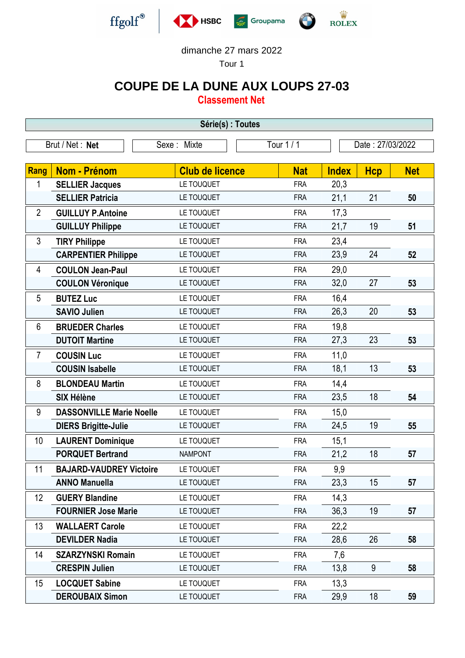

## dimanche 27 mars 2022

Tour 1

## **COUPE DE LA DUNE AUX LOUPS 27-03**

**Classement Net**

| Série(s) : Toutes |                                 |                        |            |                  |            |            |  |  |  |
|-------------------|---------------------------------|------------------------|------------|------------------|------------|------------|--|--|--|
|                   | Brut / Net: Net                 | Sexe: Mixte            | Tour 1 / 1 | Date: 27/03/2022 |            |            |  |  |  |
|                   |                                 |                        |            |                  |            |            |  |  |  |
| <b>Rang</b>       | <b>Nom - Prénom</b>             | <b>Club de licence</b> | <b>Nat</b> | <b>Index</b>     | <b>Hcp</b> | <b>Net</b> |  |  |  |
| 1                 | <b>SELLIER Jacques</b>          | LE TOUQUET             | <b>FRA</b> | 20,3             |            |            |  |  |  |
|                   | <b>SELLIER Patricia</b>         | LE TOUQUET             | <b>FRA</b> | 21,1             | 21         | 50         |  |  |  |
| $\overline{2}$    | <b>GUILLUY P.Antoine</b>        | LE TOUQUET             | <b>FRA</b> | 17,3             |            |            |  |  |  |
|                   | <b>GUILLUY Philippe</b>         | LE TOUQUET             | <b>FRA</b> | 21,7             | 19         | 51         |  |  |  |
| $\mathfrak{Z}$    | <b>TIRY Philippe</b>            | LE TOUQUET             | <b>FRA</b> | 23,4             |            |            |  |  |  |
|                   | <b>CARPENTIER Philippe</b>      | LE TOUQUET             | <b>FRA</b> | 23,9             | 24         | 52         |  |  |  |
| 4                 | <b>COULON Jean-Paul</b>         | LE TOUQUET             | <b>FRA</b> | 29,0             |            |            |  |  |  |
|                   | <b>COULON Véronique</b>         | LE TOUQUET             | <b>FRA</b> | 32,0             | 27         | 53         |  |  |  |
| 5                 | <b>BUTEZ Luc</b>                | LE TOUQUET             | <b>FRA</b> | 16,4             |            |            |  |  |  |
|                   | <b>SAVIO Julien</b>             | LE TOUQUET             | <b>FRA</b> | 26,3             | 20         | 53         |  |  |  |
| 6                 | <b>BRUEDER Charles</b>          | LE TOUQUET             | <b>FRA</b> | 19,8             |            |            |  |  |  |
|                   | <b>DUTOIT Martine</b>           | LE TOUQUET             | <b>FRA</b> | 27,3             | 23         | 53         |  |  |  |
| $\overline{7}$    | <b>COUSIN Luc</b>               | LE TOUQUET             | <b>FRA</b> | 11,0             |            |            |  |  |  |
|                   | <b>COUSIN Isabelle</b>          | LE TOUQUET             | <b>FRA</b> | 18,1             | 13         | 53         |  |  |  |
| 8                 | <b>BLONDEAU Martin</b>          | LE TOUQUET             | <b>FRA</b> | 14,4             |            |            |  |  |  |
|                   | <b>SIX Hélène</b>               | LE TOUQUET             | <b>FRA</b> | 23,5             | 18         | 54         |  |  |  |
| 9                 | <b>DASSONVILLE Marie Noelle</b> | LE TOUQUET             | <b>FRA</b> | 15,0             |            |            |  |  |  |
|                   | <b>DIERS Brigitte-Julie</b>     | LE TOUQUET             | <b>FRA</b> | 24,5             | 19         | 55         |  |  |  |
| 10                | <b>LAURENT Dominique</b>        | LE TOUQUET             | <b>FRA</b> | 15,1             |            |            |  |  |  |
|                   | <b>PORQUET Bertrand</b>         | <b>NAMPONT</b>         | <b>FRA</b> | 21,2             | 18         | 57         |  |  |  |
| 11                | <b>BAJARD-VAUDREY Victoire</b>  | LE TOUQUET             | <b>FRA</b> | 9,9              |            |            |  |  |  |
|                   | <b>ANNO Manuella</b>            | LE TOUQUET             | <b>FRA</b> | 23,3             | 15         | 57         |  |  |  |
| 12                | <b>GUERY Blandine</b>           | LE TOUQUET             | <b>FRA</b> | 14,3             |            |            |  |  |  |
|                   | <b>FOURNIER Jose Marie</b>      | LE TOUQUET             | <b>FRA</b> | 36,3             | 19         | 57         |  |  |  |
| 13                | <b>WALLAERT Carole</b>          | LE TOUQUET             | <b>FRA</b> | 22,2             |            |            |  |  |  |
|                   | <b>DEVILDER Nadia</b>           | LE TOUQUET             | <b>FRA</b> | 28,6             | 26         | 58         |  |  |  |
| 14                | <b>SZARZYNSKI Romain</b>        | LE TOUQUET             | <b>FRA</b> | 7,6              |            |            |  |  |  |
|                   | <b>CRESPIN Julien</b>           | LE TOUQUET             | <b>FRA</b> | 13,8             | $9\,$      | 58         |  |  |  |
| 15                | <b>LOCQUET Sabine</b>           | LE TOUQUET             | <b>FRA</b> | 13,3             |            |            |  |  |  |
|                   | <b>DEROUBAIX Simon</b>          | LE TOUQUET             | <b>FRA</b> | 29,9             | 18         | 59         |  |  |  |